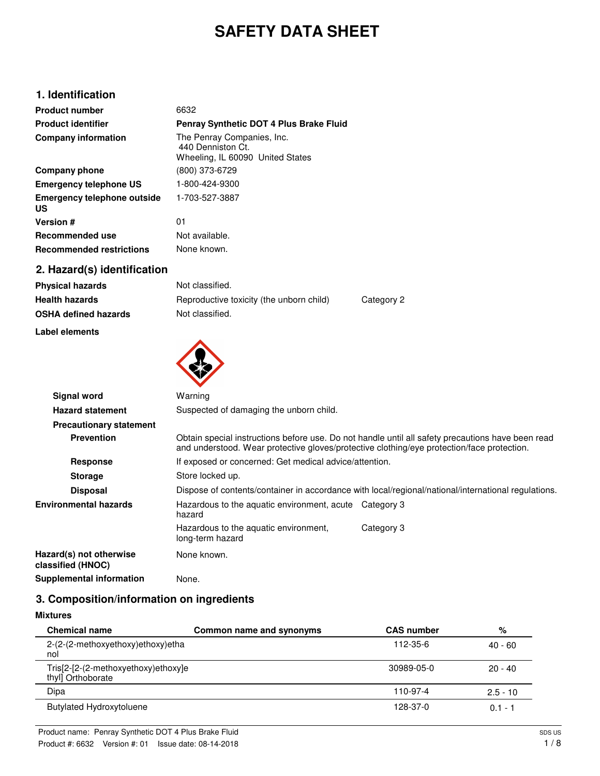# **SAFETY DATA SHEET**

# **1. Identification**

| <b>Product number</b>             | 6632                                                                                |
|-----------------------------------|-------------------------------------------------------------------------------------|
| <b>Product identifier</b>         | Penray Synthetic DOT 4 Plus Brake Fluid                                             |
| <b>Company information</b>        | The Penray Companies, Inc.<br>440 Denniston Ct.<br>Wheeling, IL 60090 United States |
| Company phone                     | (800) 373-6729                                                                      |
| <b>Emergency telephone US</b>     | 1-800-424-9300                                                                      |
| Emergency telephone outside<br>US | 1-703-527-3887                                                                      |
| <b>Version #</b>                  | 01                                                                                  |
| Recommended use                   | Not available.                                                                      |
| <b>Recommended restrictions</b>   | None known.                                                                         |

# **2. Hazard(s) identification**

| <b>Physical hazards</b>     | Not classified.                          |            |
|-----------------------------|------------------------------------------|------------|
| <b>Health hazards</b>       | Reproductive toxicity (the unborn child) | Category 2 |
| <b>OSHA defined hazards</b> | Not classified.                          |            |

#### **Label elements**



| <b>Signal word</b>                           | Warning                                                                                                                                                                                         |            |  |
|----------------------------------------------|-------------------------------------------------------------------------------------------------------------------------------------------------------------------------------------------------|------------|--|
| <b>Hazard statement</b>                      | Suspected of damaging the unborn child.                                                                                                                                                         |            |  |
| <b>Precautionary statement</b>               |                                                                                                                                                                                                 |            |  |
| <b>Prevention</b>                            | Obtain special instructions before use. Do not handle until all safety precautions have been read<br>and understood. Wear protective gloves/protective clothing/eye protection/face protection. |            |  |
| Response                                     | If exposed or concerned: Get medical advice/attention.                                                                                                                                          |            |  |
| <b>Storage</b>                               | Store locked up.                                                                                                                                                                                |            |  |
| <b>Disposal</b>                              | Dispose of contents/container in accordance with local/regional/national/international regulations.                                                                                             |            |  |
| <b>Environmental hazards</b>                 | Hazardous to the aquatic environment, acute Category 3<br>hazard                                                                                                                                |            |  |
|                                              | Hazardous to the aquatic environment,<br>long-term hazard                                                                                                                                       | Category 3 |  |
| Hazard(s) not otherwise<br>classified (HNOC) | None known.                                                                                                                                                                                     |            |  |
| Supplemental information                     | None.                                                                                                                                                                                           |            |  |

# **3. Composition/information on ingredients**

# **Mixtures**

| <b>Chemical name</b>                                     | Common name and synonyms | <b>CAS number</b> | %          |
|----------------------------------------------------------|--------------------------|-------------------|------------|
| 2-(2-(2-methoxyethoxy)ethoxy)etha<br>nol                 |                          | 112-35-6          | $40 - 60$  |
| Tris[2-[2-(2-methoxyethoxy)ethoxy]e<br>thyl] Orthoborate |                          | 30989-05-0        | $20 - 40$  |
| Dipa                                                     |                          | 110-97-4          | $2.5 - 10$ |
| <b>Butylated Hydroxytoluene</b>                          |                          | 128-37-0          | $0.1 -$    |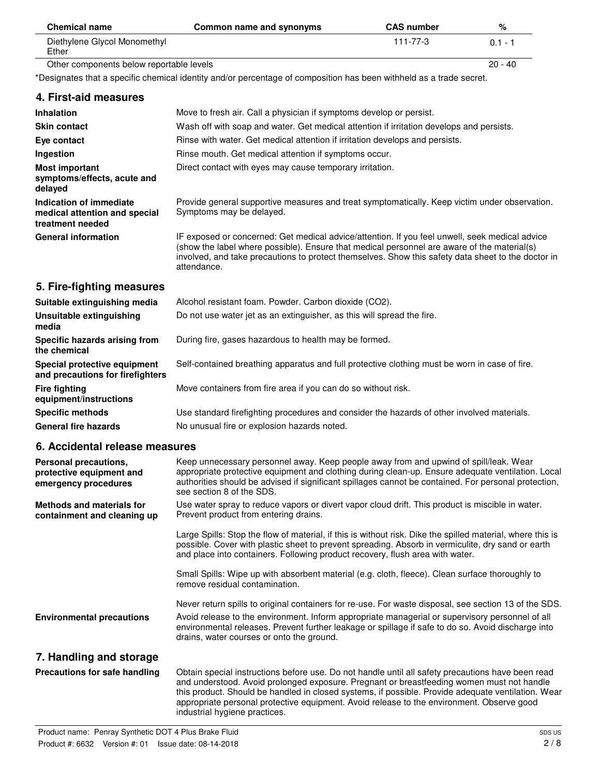| <b>Chemical name</b>                                                                | Common name and synonyms                                                                                                                                                                                                                                                                                                        | <b>CAS number</b> | %         |
|-------------------------------------------------------------------------------------|---------------------------------------------------------------------------------------------------------------------------------------------------------------------------------------------------------------------------------------------------------------------------------------------------------------------------------|-------------------|-----------|
| Diethylene Glycol Monomethyl<br>Ether                                               |                                                                                                                                                                                                                                                                                                                                 | $111 - 77 - 3$    | $0.1 - 1$ |
| Other components below reportable levels                                            |                                                                                                                                                                                                                                                                                                                                 |                   | $20 - 40$ |
|                                                                                     | *Designates that a specific chemical identity and/or percentage of composition has been withheld as a trade secret.                                                                                                                                                                                                             |                   |           |
| 4. First-aid measures                                                               |                                                                                                                                                                                                                                                                                                                                 |                   |           |
| <b>Inhalation</b>                                                                   | Move to fresh air. Call a physician if symptoms develop or persist.                                                                                                                                                                                                                                                             |                   |           |
| <b>Skin contact</b>                                                                 | Wash off with soap and water. Get medical attention if irritation develops and persists.                                                                                                                                                                                                                                        |                   |           |
| Eye contact                                                                         | Rinse with water. Get medical attention if irritation develops and persists.                                                                                                                                                                                                                                                    |                   |           |
| Ingestion                                                                           | Rinse mouth. Get medical attention if symptoms occur.                                                                                                                                                                                                                                                                           |                   |           |
| <b>Most important</b><br>symptoms/effects, acute and<br>delayed                     | Direct contact with eyes may cause temporary irritation.                                                                                                                                                                                                                                                                        |                   |           |
| <b>Indication of immediate</b><br>medical attention and special<br>treatment needed | Provide general supportive measures and treat symptomatically. Keep victim under observation.<br>Symptoms may be delayed.                                                                                                                                                                                                       |                   |           |
| <b>General information</b>                                                          | IF exposed or concerned: Get medical advice/attention. If you feel unwell, seek medical advice<br>(show the label where possible). Ensure that medical personnel are aware of the material(s)<br>involved, and take precautions to protect themselves. Show this safety data sheet to the doctor in<br>attendance.              |                   |           |
| 5. Fire-fighting measures                                                           |                                                                                                                                                                                                                                                                                                                                 |                   |           |
| Suitable extinguishing media                                                        | Alcohol resistant foam. Powder. Carbon dioxide (CO2).                                                                                                                                                                                                                                                                           |                   |           |
| <b>Unsuitable extinguishing</b><br>media                                            | Do not use water jet as an extinguisher, as this will spread the fire.                                                                                                                                                                                                                                                          |                   |           |
| Specific hazards arising from<br>the chemical                                       | During fire, gases hazardous to health may be formed.                                                                                                                                                                                                                                                                           |                   |           |
| Special protective equipment<br>and precautions for firefighters                    | Self-contained breathing apparatus and full protective clothing must be worn in case of fire.                                                                                                                                                                                                                                   |                   |           |
| <b>Fire fighting</b><br>equipment/instructions                                      | Move containers from fire area if you can do so without risk.                                                                                                                                                                                                                                                                   |                   |           |
| <b>Specific methods</b>                                                             | Use standard firefighting procedures and consider the hazards of other involved materials.                                                                                                                                                                                                                                      |                   |           |
| <b>General fire hazards</b>                                                         | No unusual fire or explosion hazards noted.                                                                                                                                                                                                                                                                                     |                   |           |
| 6. Accidental release measures                                                      |                                                                                                                                                                                                                                                                                                                                 |                   |           |
| Personal precautions,<br>protective equipment and<br>emergency procedures           | Keep unnecessary personnel away. Keep people away from and upwind of spill/leak. Wear<br>appropriate protective equipment and clothing during clean-up. Ensure adequate ventilation. Local<br>authorities should be advised if significant spillages cannot be contained. For personal protection,<br>see section 8 of the SDS. |                   |           |
| <b>Methods and materials for</b><br>containment and cleaning up                     | Use water spray to reduce vapors or divert vapor cloud drift. This product is miscible in water.<br>Prevent product from entering drains.                                                                                                                                                                                       |                   |           |
|                                                                                     | Large Spills: Stop the flow of material, if this is without risk. Dike the spilled material, where this is<br>possible. Cover with plastic sheet to prevent spreading. Absorb in vermiculite, dry sand or earth<br>and place into containers. Following product recovery, flush area with water.                                |                   |           |
|                                                                                     | Small Spills: Wipe up with absorbent material (e.g. cloth, fleece). Clean surface thoroughly to<br>remove residual contamination.                                                                                                                                                                                               |                   |           |
|                                                                                     | Never return spills to original containers for re-use. For waste disposal, see section 13 of the SDS.                                                                                                                                                                                                                           |                   |           |
| <b>Environmental precautions</b>                                                    | Avoid release to the environment. Inform appropriate managerial or supervisory personnel of all<br>environmental releases. Prevent further leakage or spillage if safe to do so. Avoid discharge into                                                                                                                           |                   |           |

# **7. Handling and storage**

| Precautions for safe handling | Obtain special instructions before use. Do not handle until all safety precautions have been read<br>and understood. Avoid prolonged exposure. Pregnant or breastfeeding women must not handle<br>this product. Should be handled in closed systems, if possible. Provide adequate ventilation. Wear<br>appropriate personal protective equipment. Avoid release to the environment. Observe good<br>industrial hygiene practices. |
|-------------------------------|------------------------------------------------------------------------------------------------------------------------------------------------------------------------------------------------------------------------------------------------------------------------------------------------------------------------------------------------------------------------------------------------------------------------------------|
|                               |                                                                                                                                                                                                                                                                                                                                                                                                                                    |

drains, water courses or onto the ground.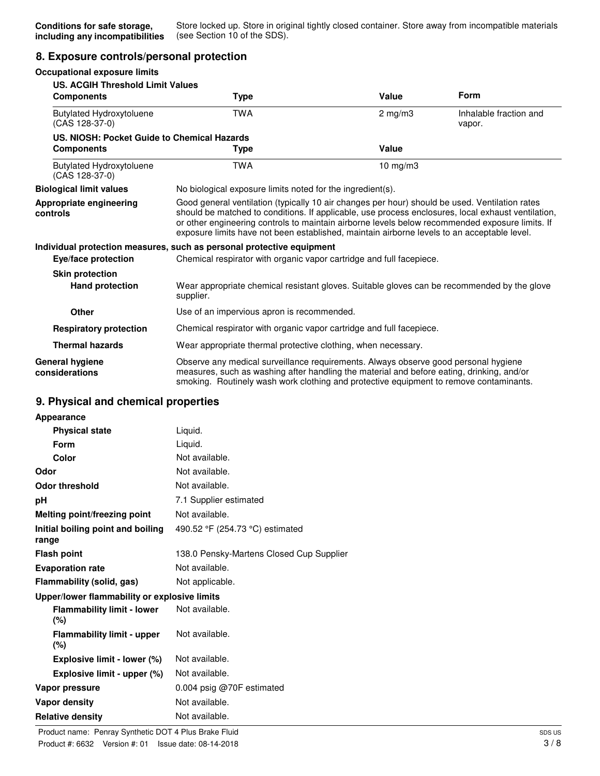### **8. Exposure controls/personal protection**

| <b>Occupational exposure limits</b>                              |                                                                                                                                                                                                                                                                                                                                                                                                        |              |                                  |
|------------------------------------------------------------------|--------------------------------------------------------------------------------------------------------------------------------------------------------------------------------------------------------------------------------------------------------------------------------------------------------------------------------------------------------------------------------------------------------|--------------|----------------------------------|
| <b>US. ACGIH Threshold Limit Values</b><br><b>Components</b>     | Type                                                                                                                                                                                                                                                                                                                                                                                                   | Value        | <b>Form</b>                      |
| <b>Butylated Hydroxytoluene</b><br>(CAS 128-37-0)                | <b>TWA</b>                                                                                                                                                                                                                                                                                                                                                                                             | $2$ mg/m $3$ | Inhalable fraction and<br>vapor. |
| US. NIOSH: Pocket Guide to Chemical Hazards<br><b>Components</b> | Type                                                                                                                                                                                                                                                                                                                                                                                                   | Value        |                                  |
| <b>Butylated Hydroxytoluene</b><br>(CAS 128-37-0)                | <b>TWA</b>                                                                                                                                                                                                                                                                                                                                                                                             | 10 mg/m3     |                                  |
| <b>Biological limit values</b>                                   | No biological exposure limits noted for the ingredient(s).                                                                                                                                                                                                                                                                                                                                             |              |                                  |
| Appropriate engineering<br>controls                              | Good general ventilation (typically 10 air changes per hour) should be used. Ventilation rates<br>should be matched to conditions. If applicable, use process enclosures, local exhaust ventilation,<br>or other engineering controls to maintain airborne levels below recommended exposure limits. If<br>exposure limits have not been established, maintain airborne levels to an acceptable level. |              |                                  |
|                                                                  | Individual protection measures, such as personal protective equipment                                                                                                                                                                                                                                                                                                                                  |              |                                  |
| Eye/face protection                                              | Chemical respirator with organic vapor cartridge and full facepiece.                                                                                                                                                                                                                                                                                                                                   |              |                                  |
| <b>Skin protection</b>                                           |                                                                                                                                                                                                                                                                                                                                                                                                        |              |                                  |
| <b>Hand protection</b>                                           | Wear appropriate chemical resistant gloves. Suitable gloves can be recommended by the glove<br>supplier.                                                                                                                                                                                                                                                                                               |              |                                  |
| <b>Other</b>                                                     | Use of an impervious apron is recommended.                                                                                                                                                                                                                                                                                                                                                             |              |                                  |
| <b>Respiratory protection</b>                                    | Chemical respirator with organic vapor cartridge and full facepiece.                                                                                                                                                                                                                                                                                                                                   |              |                                  |
| <b>Thermal hazards</b>                                           | Wear appropriate thermal protective clothing, when necessary.                                                                                                                                                                                                                                                                                                                                          |              |                                  |
| General hygiene<br>considerations                                | Observe any medical surveillance requirements. Always observe good personal hygiene<br>measures, such as washing after handling the material and before eating, drinking, and/or<br>smoking. Routinely wash work clothing and protective equipment to remove contaminants.                                                                                                                             |              |                                  |

# **9. Physical and chemical properties**

| Appearance                                                     |                                 |  |
|----------------------------------------------------------------|---------------------------------|--|
| <b>Physical state</b>                                          | Liquid.                         |  |
| Form                                                           | Liguid.                         |  |
| Color                                                          | Not available.                  |  |
| Odor                                                           | Not available.                  |  |
| <b>Odor threshold</b>                                          | Not available.                  |  |
| рH                                                             | 7.1 Supplier estimated          |  |
| Melting point/freezing point                                   | Not available.                  |  |
| Initial boiling point and boiling<br>range                     | 490.52 °F (254.73 °C) estimated |  |
| 138.0 Pensky-Martens Closed Cup Supplier<br><b>Flash point</b> |                                 |  |
| Not available.<br><b>Evaporation rate</b>                      |                                 |  |
| Flammability (solid, gas)                                      | Not applicable.                 |  |
| Upper/lower flammability or explosive limits                   |                                 |  |
| <b>Flammability limit - lower</b><br>(%)                       | Not available.                  |  |
| <b>Flammability limit - upper</b><br>(%)                       | Not available.                  |  |
| Explosive limit - lower (%)                                    | Not available.                  |  |
| Explosive limit - upper (%)                                    | Not available.                  |  |
| Vapor pressure                                                 | 0.004 psig $@70F$ estimated     |  |
| <b>Vapor density</b>                                           | Not available.                  |  |
| <b>Relative density</b>                                        | Not available.                  |  |
|                                                                |                                 |  |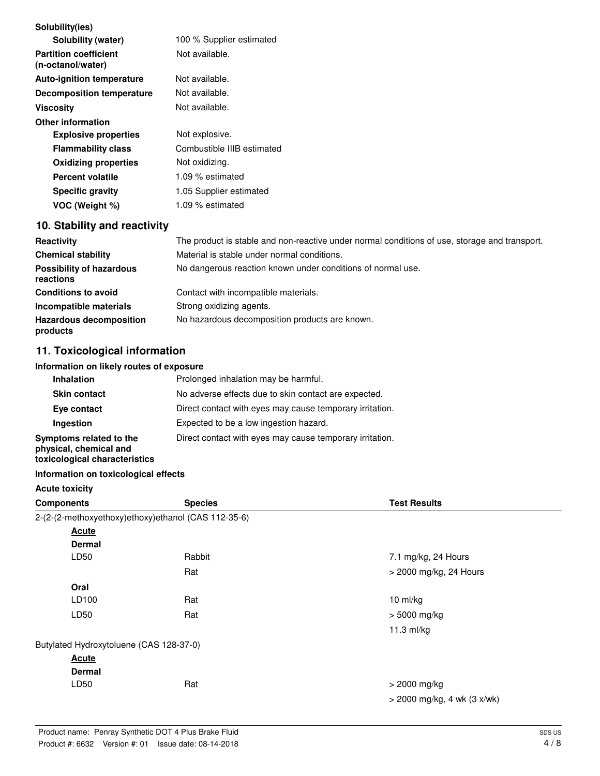| Solubility(ies)<br>Solubility (water)             | 100 % Supplier estimated   |
|---------------------------------------------------|----------------------------|
| <b>Partition coefficient</b><br>(n-octanol/water) | Not available.             |
| <b>Auto-ignition temperature</b>                  | Not available.             |
| <b>Decomposition temperature</b>                  | Not available.             |
| Viscosity                                         | Not available.             |
| <b>Other information</b>                          |                            |
| <b>Explosive properties</b>                       | Not explosive.             |
| <b>Flammability class</b>                         | Combustible IIIB estimated |
| <b>Oxidizing properties</b>                       | Not oxidizing.             |
| Percent volatile                                  | 1.09 % estimated           |
| <b>Specific gravity</b>                           | 1.05 Supplier estimated    |
| VOC (Weight %)                                    | 1.09 % estimated           |

# **10. Stability and reactivity**

| <b>Reactivity</b>                            | The product is stable and non-reactive under normal conditions of use, storage and transport. |
|----------------------------------------------|-----------------------------------------------------------------------------------------------|
| <b>Chemical stability</b>                    | Material is stable under normal conditions.                                                   |
| <b>Possibility of hazardous</b><br>reactions | No dangerous reaction known under conditions of normal use.                                   |
| <b>Conditions to avoid</b>                   | Contact with incompatible materials.                                                          |
| Incompatible materials                       | Strong oxidizing agents.                                                                      |
| <b>Hazardous decomposition</b><br>products   | No hazardous decomposition products are known.                                                |

# **11. Toxicological information**

#### **Information on likely routes of exposure**

| <b>Inhalation</b>                                                                  | Prolonged inhalation may be harmful.                     |
|------------------------------------------------------------------------------------|----------------------------------------------------------|
| <b>Skin contact</b>                                                                | No adverse effects due to skin contact are expected.     |
| Eye contact                                                                        | Direct contact with eyes may cause temporary irritation. |
| Ingestion                                                                          | Expected to be a low ingestion hazard.                   |
| Symptoms related to the<br>physical, chemical and<br>toxicological characteristics | Direct contact with eyes may cause temporary irritation. |

#### **Information on toxicological effects**

#### **Acute toxicity**

| <b>Components</b>                       | <b>Species</b>                                      | <b>Test Results</b>           |
|-----------------------------------------|-----------------------------------------------------|-------------------------------|
|                                         | 2-(2-(2-methoxyethoxy)ethoxy)ethanol (CAS 112-35-6) |                               |
| <b>Acute</b>                            |                                                     |                               |
| <b>Dermal</b>                           |                                                     |                               |
| LD50                                    | Rabbit                                              | 7.1 mg/kg, 24 Hours           |
|                                         | Rat                                                 | > 2000 mg/kg, 24 Hours        |
| Oral                                    |                                                     |                               |
| LD100                                   | Rat                                                 | 10 ml/kg                      |
| LD50                                    | Rat                                                 | $> 5000$ mg/kg                |
|                                         |                                                     | 11.3 ml/kg                    |
| Butylated Hydroxytoluene (CAS 128-37-0) |                                                     |                               |
| <b>Acute</b>                            |                                                     |                               |
| <b>Dermal</b>                           |                                                     |                               |
| LD50                                    | Rat                                                 | $>$ 2000 mg/kg                |
|                                         |                                                     | $>$ 2000 mg/kg, 4 wk (3 x/wk) |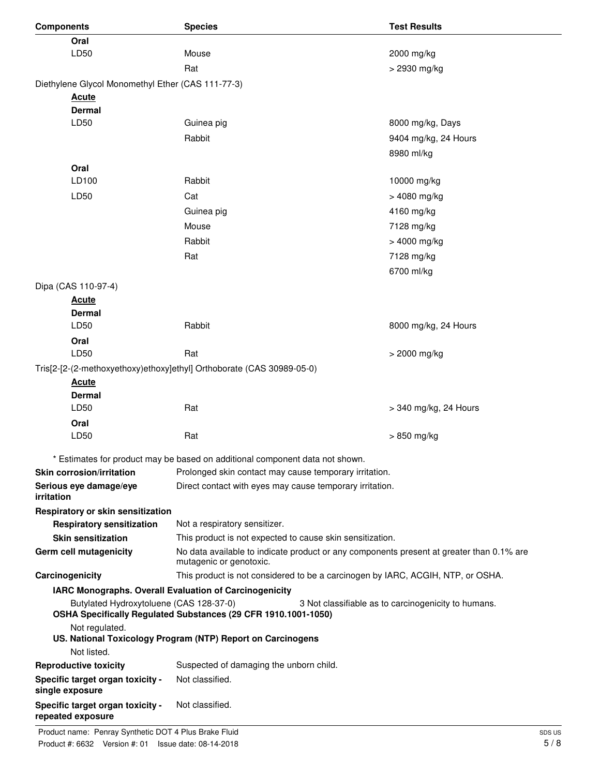| <b>Components</b>                                     | <b>Species</b>                                                                                                      | <b>Test Results</b>                                 |
|-------------------------------------------------------|---------------------------------------------------------------------------------------------------------------------|-----------------------------------------------------|
| Oral                                                  |                                                                                                                     |                                                     |
| LD50                                                  | Mouse                                                                                                               | 2000 mg/kg                                          |
|                                                       | Rat                                                                                                                 | > 2930 mg/kg                                        |
| Diethylene Glycol Monomethyl Ether (CAS 111-77-3)     |                                                                                                                     |                                                     |
| <b>Acute</b>                                          |                                                                                                                     |                                                     |
| <b>Dermal</b>                                         |                                                                                                                     |                                                     |
| LD50                                                  | Guinea pig                                                                                                          | 8000 mg/kg, Days                                    |
|                                                       | Rabbit                                                                                                              | 9404 mg/kg, 24 Hours                                |
|                                                       |                                                                                                                     | 8980 ml/kg                                          |
| Oral                                                  |                                                                                                                     |                                                     |
| LD100                                                 | Rabbit                                                                                                              | 10000 mg/kg                                         |
| LD50                                                  | Cat                                                                                                                 | > 4080 mg/kg                                        |
|                                                       | Guinea pig                                                                                                          | 4160 mg/kg                                          |
|                                                       | Mouse                                                                                                               | 7128 mg/kg                                          |
|                                                       | Rabbit                                                                                                              | > 4000 mg/kg                                        |
|                                                       | Rat                                                                                                                 | 7128 mg/kg                                          |
|                                                       |                                                                                                                     | 6700 ml/kg                                          |
| Dipa (CAS 110-97-4)                                   |                                                                                                                     |                                                     |
| <b>Acute</b>                                          |                                                                                                                     |                                                     |
| <b>Dermal</b>                                         |                                                                                                                     |                                                     |
| LD50                                                  | Rabbit                                                                                                              | 8000 mg/kg, 24 Hours                                |
| Oral                                                  |                                                                                                                     |                                                     |
| LD50                                                  | Rat                                                                                                                 | > 2000 mg/kg                                        |
|                                                       | Tris[2-[2-(2-methoxyethoxy)ethoxy]ethyl] Orthoborate (CAS 30989-05-0)                                               |                                                     |
| <b>Acute</b>                                          |                                                                                                                     |                                                     |
| <b>Dermal</b>                                         |                                                                                                                     |                                                     |
| LD50                                                  | Rat                                                                                                                 | > 340 mg/kg, 24 Hours                               |
| Oral                                                  |                                                                                                                     |                                                     |
| LD50                                                  | Rat                                                                                                                 | > 850 mg/kg                                         |
|                                                       | * Estimates for product may be based on additional component data not shown.                                        |                                                     |
| <b>Skin corrosion/irritation</b>                      | Prolonged skin contact may cause temporary irritation.                                                              |                                                     |
| Serious eye damage/eye<br>irritation                  | Direct contact with eyes may cause temporary irritation.                                                            |                                                     |
| Respiratory or skin sensitization                     |                                                                                                                     |                                                     |
| <b>Respiratory sensitization</b>                      | Not a respiratory sensitizer.                                                                                       |                                                     |
| <b>Skin sensitization</b>                             | This product is not expected to cause skin sensitization.                                                           |                                                     |
| Germ cell mutagenicity                                | No data available to indicate product or any components present at greater than 0.1% are<br>mutagenic or genotoxic. |                                                     |
| Carcinogenicity                                       | This product is not considered to be a carcinogen by IARC, ACGIH, NTP, or OSHA.                                     |                                                     |
|                                                       | IARC Monographs. Overall Evaluation of Carcinogenicity                                                              |                                                     |
| Butylated Hydroxytoluene (CAS 128-37-0)               | OSHA Specifically Regulated Substances (29 CFR 1910.1001-1050)                                                      | 3 Not classifiable as to carcinogenicity to humans. |
| Not regulated.                                        | US. National Toxicology Program (NTP) Report on Carcinogens                                                         |                                                     |
| Not listed.                                           |                                                                                                                     |                                                     |
| <b>Reproductive toxicity</b>                          | Suspected of damaging the unborn child.                                                                             |                                                     |
| Specific target organ toxicity -<br>single exposure   | Not classified.                                                                                                     |                                                     |
| Specific target organ toxicity -<br>repeated exposure | Not classified.                                                                                                     |                                                     |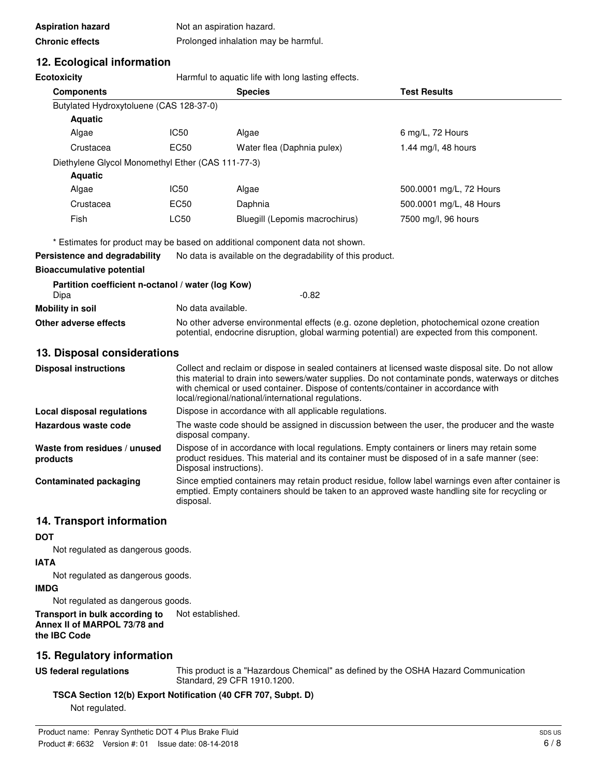| <b>Aspiration hazard</b> | Not an aspiration hazard.            |
|--------------------------|--------------------------------------|
| <b>Chronic effects</b>   | Prolonged inhalation may be harmful. |

# **12. Ecological information**

**Ecotoxicity Example 20** Harmful to aquatic life with long lasting effects.

| <b>Components</b>                                 |             | <b>Species</b>                 | <b>Test Results</b>     |
|---------------------------------------------------|-------------|--------------------------------|-------------------------|
| Butylated Hydroxytoluene (CAS 128-37-0)           |             |                                |                         |
| <b>Aquatic</b>                                    |             |                                |                         |
| Algae                                             | IC50        | Algae                          | 6 mg/L, 72 Hours        |
| Crustacea                                         | EC50        | Water flea (Daphnia pulex)     | 1.44 mg/l, 48 hours     |
| Diethylene Glycol Monomethyl Ether (CAS 111-77-3) |             |                                |                         |
| <b>Aquatic</b>                                    |             |                                |                         |
| Algae                                             | IC50        | Algae                          | 500.0001 mg/L, 72 Hours |
| Crustacea                                         | <b>EC50</b> | Daphnia                        | 500.0001 mg/L, 48 Hours |
| <b>Fish</b>                                       | LC50        | Bluegill (Lepomis macrochirus) | 7500 mg/l, 96 hours     |

\* Estimates for product may be based on additional component data not shown.

**Persistence and degradability** No data is available on the degradability of this product.

### **Bioaccumulative potential**

| Partition coefficient n-octanol / water (log Kow) |                                                                                                                                                                                            |  |
|---------------------------------------------------|--------------------------------------------------------------------------------------------------------------------------------------------------------------------------------------------|--|
| Dipa                                              | -0.82                                                                                                                                                                                      |  |
| Mobility in soil                                  | No data available.                                                                                                                                                                         |  |
| Other adverse effects                             | No other adverse environmental effects (e.g. ozone depletion, photochemical ozone creation<br>potential, endocrine disruption, global warming potential) are expected from this component. |  |

### **13. Disposal considerations**

| <b>Disposal instructions</b>             | Collect and reclaim or dispose in sealed containers at licensed waste disposal site. Do not allow<br>this material to drain into sewers/water supplies. Do not contaminate ponds, waterways or ditches<br>with chemical or used container. Dispose of contents/container in accordance with<br>local/regional/national/international regulations. |
|------------------------------------------|---------------------------------------------------------------------------------------------------------------------------------------------------------------------------------------------------------------------------------------------------------------------------------------------------------------------------------------------------|
| Local disposal regulations               | Dispose in accordance with all applicable regulations.                                                                                                                                                                                                                                                                                            |
| Hazardous waste code                     | The waste code should be assigned in discussion between the user, the producer and the waste<br>disposal company.                                                                                                                                                                                                                                 |
| Waste from residues / unused<br>products | Dispose of in accordance with local regulations. Empty containers or liners may retain some<br>product residues. This material and its container must be disposed of in a safe manner (see:<br>Disposal instructions).                                                                                                                            |
| <b>Contaminated packaging</b>            | Since emptied containers may retain product residue, follow label warnings even after container is<br>emptied. Empty containers should be taken to an approved waste handling site for recycling or<br>disposal.                                                                                                                                  |

### **14. Transport information**

### **DOT**

Not regulated as dangerous goods.

**IATA**

Not regulated as dangerous goods.

### **IMDG**

Not regulated as dangerous goods.

**Transport in bulk according to** Not established. **Annex II of MARPOL 73/78 and the IBC Code**

# **15. Regulatory information**

**US federal regulations**

This product is a "Hazardous Chemical" as defined by the OSHA Hazard Communication Standard, 29 CFR 1910.1200.

**TSCA Section 12(b) Export Notification (40 CFR 707, Subpt. D)**

Not regulated.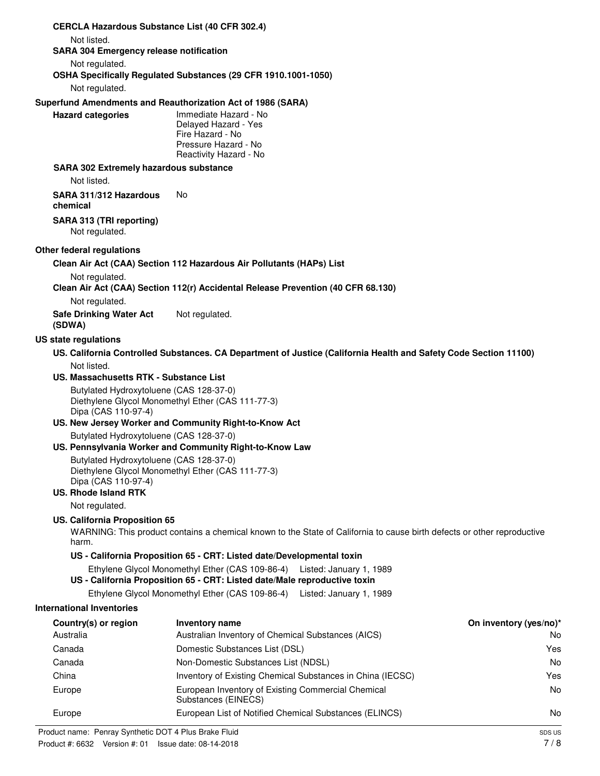| <b>CERCLA Hazardous Substance List (40 CFR 302.4)</b>         |                                                                                                                                                      |                        |
|---------------------------------------------------------------|------------------------------------------------------------------------------------------------------------------------------------------------------|------------------------|
| Not listed.<br><b>SARA 304 Emergency release notification</b> |                                                                                                                                                      |                        |
| Not regulated.                                                |                                                                                                                                                      |                        |
|                                                               | OSHA Specifically Regulated Substances (29 CFR 1910.1001-1050)                                                                                       |                        |
| Not regulated.                                                |                                                                                                                                                      |                        |
|                                                               | Superfund Amendments and Reauthorization Act of 1986 (SARA)                                                                                          |                        |
| <b>Hazard categories</b>                                      | Immediate Hazard - No                                                                                                                                |                        |
|                                                               | Delayed Hazard - Yes<br>Fire Hazard - No                                                                                                             |                        |
|                                                               | Pressure Hazard - No                                                                                                                                 |                        |
|                                                               | Reactivity Hazard - No                                                                                                                               |                        |
| <b>SARA 302 Extremely hazardous substance</b><br>Not listed.  |                                                                                                                                                      |                        |
|                                                               | No.                                                                                                                                                  |                        |
| SARA 311/312 Hazardous<br>chemical                            |                                                                                                                                                      |                        |
| SARA 313 (TRI reporting)                                      |                                                                                                                                                      |                        |
| Not regulated.                                                |                                                                                                                                                      |                        |
| Other federal regulations                                     |                                                                                                                                                      |                        |
|                                                               | Clean Air Act (CAA) Section 112 Hazardous Air Pollutants (HAPs) List                                                                                 |                        |
| Not regulated.                                                |                                                                                                                                                      |                        |
|                                                               | Clean Air Act (CAA) Section 112(r) Accidental Release Prevention (40 CFR 68.130)                                                                     |                        |
| Not regulated.                                                |                                                                                                                                                      |                        |
| <b>Safe Drinking Water Act</b><br>(SDWA)                      | Not regulated.                                                                                                                                       |                        |
| US state regulations                                          |                                                                                                                                                      |                        |
|                                                               | US. California Controlled Substances. CA Department of Justice (California Health and Safety Code Section 11100)                                     |                        |
| Not listed.                                                   |                                                                                                                                                      |                        |
| US. Massachusetts RTK - Substance List                        |                                                                                                                                                      |                        |
| Butylated Hydroxytoluene (CAS 128-37-0)                       |                                                                                                                                                      |                        |
| Dipa (CAS 110-97-4)                                           | Diethylene Glycol Monomethyl Ether (CAS 111-77-3)                                                                                                    |                        |
|                                                               | US. New Jersey Worker and Community Right-to-Know Act                                                                                                |                        |
| Butylated Hydroxytoluene (CAS 128-37-0)                       |                                                                                                                                                      |                        |
|                                                               | US. Pennsylvania Worker and Community Right-to-Know Law                                                                                              |                        |
| Butylated Hydroxytoluene (CAS 128-37-0)                       | Diethylene Glycol Monomethyl Ether (CAS 111-77-3)                                                                                                    |                        |
| Dipa (CAS 110-97-4)                                           |                                                                                                                                                      |                        |
| <b>US. Rhode Island RTK</b>                                   |                                                                                                                                                      |                        |
| Not regulated.                                                |                                                                                                                                                      |                        |
| US. California Proposition 65                                 | WARNING: This product contains a chemical known to the State of California to cause birth defects or other reproductive                              |                        |
| harm.                                                         |                                                                                                                                                      |                        |
|                                                               | US - California Proposition 65 - CRT: Listed date/Developmental toxin                                                                                |                        |
|                                                               | Ethylene Glycol Monomethyl Ether (CAS 109-86-4) Listed: January 1, 1989<br>US - California Proposition 65 - CRT: Listed date/Male reproductive toxin |                        |
|                                                               | Ethylene Glycol Monomethyl Ether (CAS 109-86-4) Listed: January 1, 1989                                                                              |                        |
| <b>International Inventories</b>                              |                                                                                                                                                      |                        |
| Country(s) or region                                          | Inventory name                                                                                                                                       | On inventory (yes/no)* |
| Australia                                                     | Australian Inventory of Chemical Substances (AICS)                                                                                                   | No                     |
| Canada                                                        | Domestic Substances List (DSL)                                                                                                                       | Yes                    |
| Canada                                                        | Non-Domestic Substances List (NDSL)                                                                                                                  | No                     |
| China                                                         | Inventory of Existing Chemical Substances in China (IECSC)                                                                                           | Yes                    |
| Europe                                                        | European Inventory of Existing Commercial Chemical<br>Substances (EINECS)                                                                            | No                     |
| Europe                                                        | European List of Notified Chemical Substances (ELINCS)                                                                                               | No                     |